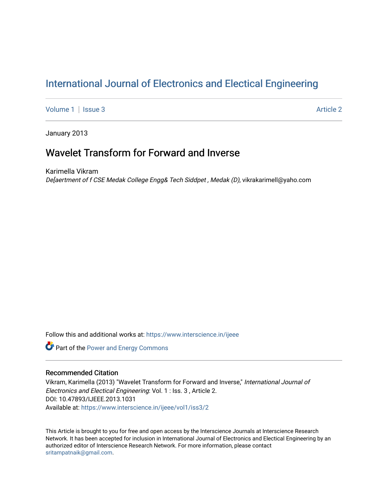# [International Journal of Electronics and Electical Engineering](https://www.interscience.in/ijeee)

[Volume 1](https://www.interscience.in/ijeee/vol1) | [Issue 3](https://www.interscience.in/ijeee/vol1/iss3) Article 2

January 2013

# Wavelet Transform for Forward and Inverse

Karimella Vikram De[aertment of f CSE Medak College Engg& Tech Siddpet , Medak (D), vikrakarimell@yaho.com

Follow this and additional works at: [https://www.interscience.in/ijeee](https://www.interscience.in/ijeee?utm_source=www.interscience.in%2Fijeee%2Fvol1%2Fiss3%2F2&utm_medium=PDF&utm_campaign=PDFCoverPages)

**Part of the Power and Energy Commons** 

# Recommended Citation

Vikram, Karimella (2013) "Wavelet Transform for Forward and Inverse," International Journal of Electronics and Electical Engineering: Vol. 1 : Iss. 3 , Article 2. DOI: 10.47893/IJEEE.2013.1031 Available at: [https://www.interscience.in/ijeee/vol1/iss3/2](https://www.interscience.in/ijeee/vol1/iss3/2?utm_source=www.interscience.in%2Fijeee%2Fvol1%2Fiss3%2F2&utm_medium=PDF&utm_campaign=PDFCoverPages)

This Article is brought to you for free and open access by the Interscience Journals at Interscience Research Network. It has been accepted for inclusion in International Journal of Electronics and Electical Engineering by an authorized editor of Interscience Research Network. For more information, please contact [sritampatnaik@gmail.com](mailto:sritampatnaik@gmail.com).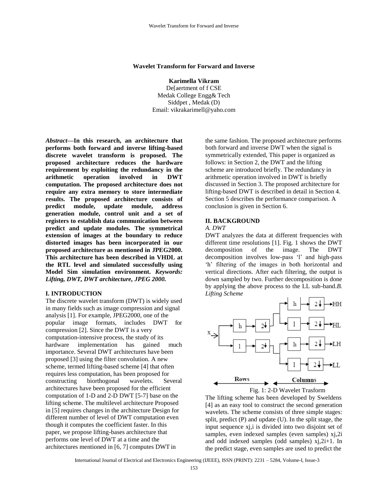#### **Wavelet Transform for Forward and Inverse**

**Karimella Vikram**  De[aertment of f CSE Medak College Engg& Tech Siddpet , Medak (D) Email: [vikrakarimell@yaho.com](mailto:vikrakarimell@yaho.com)

*Abstract—***In this research, an architecture that performs both forward and inverse lifting-based discrete wavelet transform is proposed. The proposed architecture reduces the hardware requirement by exploiting the redundancy in the arithmetic operation involved in DWT computation. The proposed architecture does not require any extra memory to store intermediate results. The proposed architecture consists of predict module, update module, address generation module, control unit and a set of registers to establish data communication between predict and update modules. The symmetrical extension of images at the boundary to reduce distorted images has been incorporated in our proposed architecture as mentioned in JPEG2000. This architecture has been described in VHDL at the RTL level and simulated successfully using Model Sim simulation environment.** *Keywords: Lifting, DWT, DWT architecture, JPEG 2000.*

#### **I. INTRODUCTION**

The discrete wavelet transform (DWT) is widely used in many fields such as image compression and signal analysis [1]. For example, JPEG2000, one of the popular image formats, includes DWT for compression [2]. Since the DWT is a very computation-intensive process, the study of its hardware implementation has gained much importance. Several DWT architectures have been proposed [3] using the filter convolution. A new scheme, termed lifting-based scheme [4] that often requires less computation, has been proposed for constructing biorthogonal wavelets. Several architectures have been proposed for the efficient computation of 1-D and 2-D DWT [5-7] base on the lifting scheme. The multilevel architecture Proposed in [5] requires changes in the architecture Design for different number of level of DWT computation even though it computes the coefficient faster. In this paper, we propose lifting-bases architecture that performs one level of DWT at a time and the architectures mentioned in [6, 7] computes DWT in

the same fashion. The proposed architecture performs both forward and inverse DWT when the signal is symmetrically extended, This paper is organized as follows: in Section 2, the DWT and the lifting scheme are introduced briefly. The redundancy in arithmetic operation involved in DWT is briefly discussed in Section 3. The proposed architecture for lifting-based DWT is described in detail in Section 4. Section 5 describes the performance comparison. A conclusion is given in Section 6.

### **II. BACKGROUND**

#### *A. DWT*

DWT analyzes the data at different frequencies with different time resolutions [1]. Fig. 1 shows the DWT decomposition of the image. The DWT decomposition involves low-pass 'l' and high-pass 'h' filtering of the images in both horizontal and vertical directions. After each filtering, the output is down sampled by two. Further decomposition is done by applying the above process to the LL sub-band.*B. Lifting Scheme*





The lifting scheme has been developed by Sweldens [4] as an easy tool to construct the second generation wavelets. The scheme consists of three simple stages: split, predict (P) and update (U). In the split stage, the input sequence xi, i is divided into two disjoint set of samples, even indexed samples (even samples) xj,2i and odd indexed samples (odd samples) xj,2i+1. In the predict stage, even samples are used to predict the

International Journal of Electrical and Electronics Engineering (IJEEE), ISSN (PRINT): 2231 – 5284, Volume-I, Issue-3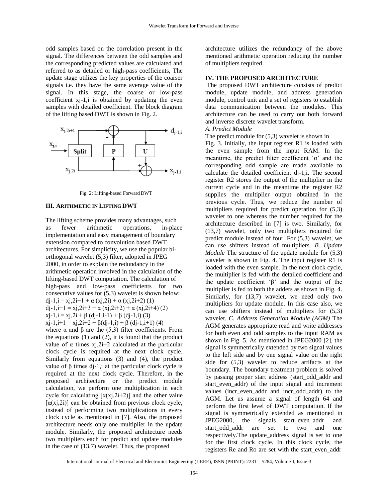odd samples based on the correlation present in the signal. The differences between the odd samples and the corresponding predicted values are calculated and referred to as detailed or high-pass coefficients, The update stage utilizes the key properties of the coarser signals i.e. they have the same average value of the signal. In this stage, the coarse or low-pass coefficient xj-1,i is obtained by updating the even samples with detailed coefficient. The block diagram of the lifting based DWT is shown in Fig. 2.



Fig. 2: Lifting-based Forward DWT

#### **III. ARITHMETIC IN LIFTING DWT**

The lifting scheme provides many advantages, such as fewer arithmetic operations, in-place implementation and easy management of boundary extension compared to convolution based DWT architectures. For simplicity, we use the popular biorthogonal wavelet (5,3) filter, adopted in JPEG 2000, in order to explain the redundancy in the arithmetic operation involved in the calculation of the lifting-based DWT computation. The calculation of high-pass and low-pass coefficients for two consecutive values for (5,3) wavelet is shown below: dj-1,i = xj,2i+1 +  $\alpha$  (xj,2i) +  $\alpha$  (xj,2i+2) (1) dj-1,i+1 = xj,2i+3 +  $\alpha$  (xj,2i+2) +  $\alpha$  (xj,2i+4) (2)  $xj-1, i = xj, 2i + \beta$  (dj-1,i-1) +  $\beta$  (dj-1,i) (3)  $xj-1,i+1 = xj,2i+2 + \beta$  $(dj-1,i) + \beta$  $(dj-1,i+1)$  $(4)$ where  $\alpha$  and  $\beta$  are the (5,3) filter coefficients. From the equations  $(1)$  and  $(2)$ , it is found that the product value of α times xj,2i+2 calculated at the particular clock cycle is required at the next clock cycle. Similarly from equations (3) and (4), the product value of β times dj-1, i at the particular clock cycle is required at the next clock cycle. Therefore, in the proposed architecture or the predict module calculation, we perform one multiplication in each cycle for calculating  $[\alpha(x),2i+2)]$  and the other value [ $\alpha$ (xj,2i)] can be obtained from previous clock cycle, instead of performing two multiplications in every clock cycle as mentioned in [7]. Also, the proposed architecture needs only one multiplier in the update module. Similarly, the proposed architecture needs two multipliers each for predict and update modules

in the case of (13,7) wavelet. Thus, the proposed

architecture utilizes the redundancy of the above mentioned arithmetic operation reducing the number of multipliers required.

### **IV. THE PROPOSED ARCHITECTURE**

The proposed DWT architecture consists of predict module, update module, and address generation module, control unit and a set of registers to establish data communication between the modules. This architecture can be used to carry out both forward and inverse discrete wavelet transform.

# *A. Predict Module*

The predict module for (5,3) wavelet is shown in

Fig. 3. Initially, the input register R1 is loaded with the even sample from the input RAM. In the meantime, the predict filter coefficient  $\alpha$  and the corresponding odd sample are made available to calculate the detailed coefficient dj-1,i. The second register R2 stores the output of the multiplier in the current cycle and in the meantime the register R2 supplies the multiplier output obtained in the previous cycle. Thus, we reduce the number of multipliers required for predict operation for (5,3) wavelet to one whereas the number required for the architecture described in [7] is two. Similarly, for (13,7) wavelet, only two multipliers required for predict module instead of four. For (5,3) wavelet, we can use shifters instead of multipliers. *B. Update Module* The structure of the update module for (5,3) wavelet is shown in Fig. 4. The input register R1 is loaded with the even sample. In the next clock cycle, the multiplier is fed with the detailed coefficient and the update coefficient 'β' and the output of the multiplier is fed to both the adders as shown in Fig. 4. Similarly, for (13,7) wavelet, we need only two multipliers for update module. In this case also, we can use shifters instead of multipliers for (5,3) wavelet. *C. Address Generation Module (AGM)* The AGM generates appropriate read and write addresses for both even and odd samples to the input RAM as shown in Fig. 5. As mentioned in JPEG2000 [2], the signal is symmetrically extended by two signal values to the left side and by one signal value on the right side for (5,3) wavelet to reduce artifacts at the boundary. The boundary treatment problem is solved by passing proper start address (start\_odd\_addr and start\_even\_addr) of the input signal and increment values (incr even addr and incr odd addr) to the AGM. Let us assume a signal of length 64 and perform the first level of DWT computation. If the signal is symmetrically extended as mentioned in JPEG2000, the signals start even addr and start odd addr are set to two and one respectively.The update\_address signal is set to one for the first clock cycle. In this clock cycle, the registers Re and Ro are set with the start\_even\_addr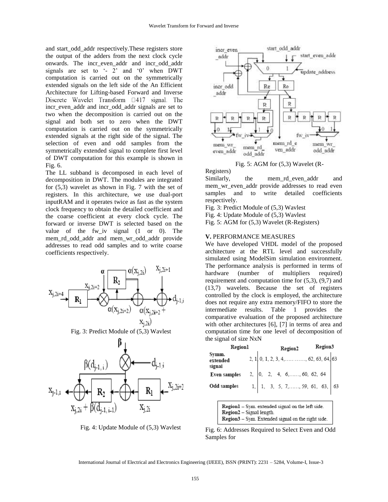and start\_odd\_addr respectively.These registers store the output of the adders from the next clock cycle onwards. The incr\_even\_addr and incr\_odd\_addr signals are set to '- 2' and '0' when DWT computation is carried out on the symmetrically extended signals on the left side of the An Efficient Architecture for Lifting-based Forward and Inverse Discrete Wavelet Transform  $\Box$ 417 signal. The incr even addr and incr odd addr signals are set to two when the decomposition is carried out on the signal and both set to zero when the DWT computation is carried out on the symmetrically extended signals at the right side of the signal. The selection of even and odd samples from the symmetrically extended signal to complete first level of DWT computation for this example is shown in Fig. 6.

The LL subband is decomposed in each level of decomposition in DWT. The modules are integrated for (5,3) wavelet as shown in Fig. 7 with the set of registers. In this architecture, we use dual-port inputRAM and it operates twice as fast as the system clock frequency to obtain the detailed coefficient and the coarse coefficient at every clock cycle. The forward or inverse DWT is selected based on the value of the fw iv signal  $(1 \text{ or } 0)$ . The mem\_rd\_odd\_addr and mem\_wr\_odd\_addr provide addresses to read odd samples and to write coarse coefficients respectively.



R٠



Fig. 5: AGM for (5,3) Wavelet (R-

Registers)

Similarly, the mem\_rd\_even\_addr and mem wr even addr provide addresses to read even samples and to write detailed coefficients respectively.

Fig. 3: Predict Module of (5,3) Wavlest

Fig. 4: Update Module of (5,3) Wavlest

Fig. 5: AGM for (5,3) Wavelet (R-Registers)

#### **V.** PERFORMANCE MEASURES

We have developed VHDL model of the proposed architecture at the RTL level and successfully simulated using ModelSim simulation environment. The performance analysis is performed in terms of hardware (number of multipliers required) requirement and computation time for (5,3), (9,7) and (13,7) wavelets. Because the set of registers controlled by the clock is employed, the architecture does not require any extra memory/FIFO to store the intermediate results. Table 1 provides the comparative evaluation of the proposed architecture with other architectures [6], [7] in terms of area and computation time for one level of decomposition of the signal of size NxN

| Regionl                     | Region2 |  |  | Region3 |                                                                                                                                 |  |  |  |
|-----------------------------|---------|--|--|---------|---------------------------------------------------------------------------------------------------------------------------------|--|--|--|
| Symm.<br>extended<br>signal |         |  |  |         | 2, 1 0, 1, 2, 3, 4, , 62, 63, 64, 63                                                                                            |  |  |  |
| Even samples                |         |  |  |         |                                                                                                                                 |  |  |  |
| Odd samples                 |         |  |  |         | 2, $\begin{vmatrix} 0, & 2, & 4, & 6, \dots, & 60, & 62, & 64 \\ 1, & 3, & 5, & 7, & \dots, & 59, & 61, & 63, \end{vmatrix}$ 63 |  |  |  |

| <b>Region1</b> – Sym. extended signal on the left side. |
|---------------------------------------------------------|
| Region2 – Signal length.                                |
| Region3 – Sym. Extended signal on the right side.       |

Fig. 4: Update Module of (5,3) Wavlest

R۱

 $X_{i,2i}$ 

Fig. 6: Addresses Required to Select Even and Odd Samples for

International Journal of Electrical and Electronics Engineering (IJEEE), ISSN (PRINT): 2231 – 5284, Volume-I, Issue-3

 $x_{i,2i+2}$